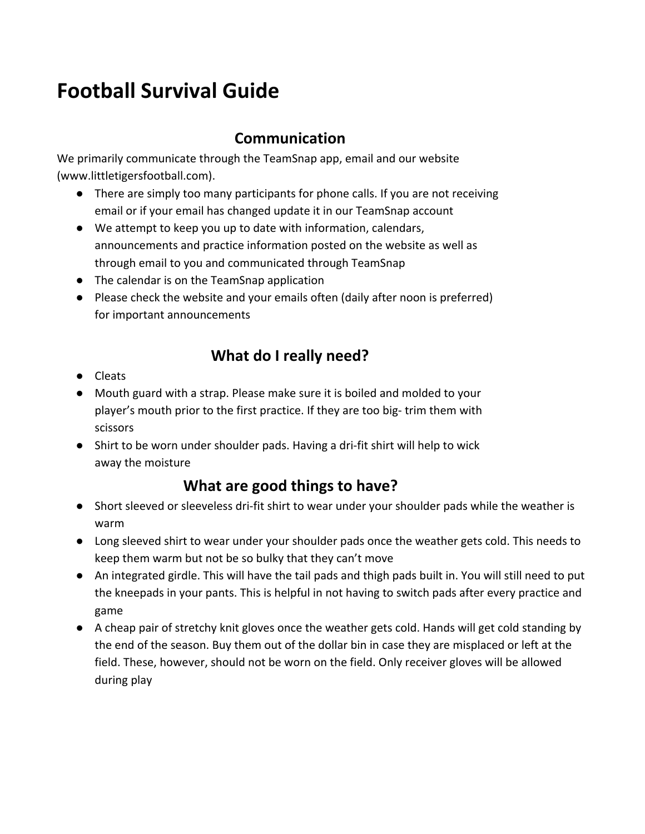# **Football Survival Guide**

# **Communication**

We primarily communicate through the TeamSnap app, email and our website (www.littletigersfootball.com).

- There are simply too many participants for phone calls. If you are not receiving email or if your email has changed update it in our TeamSnap account
- We attempt to keep you up to date with information, calendars, announcements and practice information posted on the website as well as through email to you and communicated through TeamSnap
- The calendar is on the TeamSnap application
- Please check the website and your emails often (daily after noon is preferred) for important announcements

# **What do I really need?**

- Cleats
- Mouth guard with a strap. Please make sure it is boiled and molded to your player's mouth prior to the first practice. If they are too big- trim them with scissors
- Shirt to be worn under shoulder pads. Having a dri-fit shirt will help to wick away the moisture

# **What are good things to have?**

- Short sleeved or sleeveless dri-fit shirt to wear under your shoulder pads while the weather is warm
- Long sleeved shirt to wear under your shoulder pads once the weather gets cold. This needs to keep them warm but not be so bulky that they can't move
- An integrated girdle. This will have the tail pads and thigh pads built in. You will still need to put the kneepads in your pants. This is helpful in not having to switch pads after every practice and game
- A cheap pair of stretchy knit gloves once the weather gets cold. Hands will get cold standing by the end of the season. Buy them out of the dollar bin in case they are misplaced or left at the field. These, however, should not be worn on the field. Only receiver gloves will be allowed during play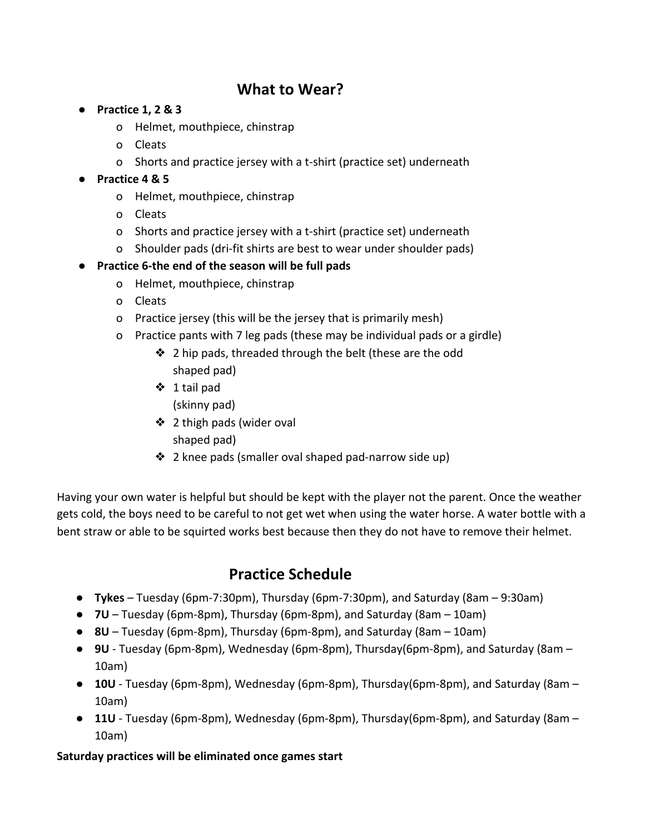# **What to Wear?**

- **● Practice 1, 2 & 3**
	- o Helmet, mouthpiece, chinstrap
	- o Cleats
	- o Shorts and practice jersey with a t-shirt (practice set) underneath
- **● Practice 4 & 5**
	- o Helmet, mouthpiece, chinstrap
	- o Cleats
	- o Shorts and practice jersey with a t-shirt (practice set) underneath
	- o Shoulder pads (dri-fit shirts are best to wear under shoulder pads)

### **● Practice 6-the end of the season will be full pads**

- o Helmet, mouthpiece, chinstrap
- o Cleats
- o Practice jersey (this will be the jersey that is primarily mesh)
- o Practice pants with 7 leg pads (these may be individual pads or a girdle)
	- ❖ 2 hip pads, threaded through the belt (these are the odd shaped pad)
	- ❖ 1 tail pad (skinny pad)
	- ❖ 2 thigh pads (wider oval shaped pad)
	- ❖ 2 knee pads (smaller oval shaped pad-narrow side up)

Having your own water is helpful but should be kept with the player not the parent. Once the weather gets cold, the boys need to be careful to not get wet when using the water horse. A water bottle with a bent straw or able to be squirted works best because then they do not have to remove their helmet.

### **Practice Schedule**

- **Tykes** Tuesday (6pm-7:30pm), Thursday (6pm-7:30pm), and Saturday (8am 9:30am)
- **7U** Tuesday (6pm-8pm), Thursday (6pm-8pm), and Saturday (8am 10am)
- **8U** Tuesday (6pm-8pm), Thursday (6pm-8pm), and Saturday (8am 10am)
- **9U** Tuesday (6pm-8pm), Wednesday (6pm-8pm), Thursday(6pm-8pm), and Saturday (8am 10am)
- **10U** Tuesday (6pm-8pm), Wednesday (6pm-8pm), Thursday(6pm-8pm), and Saturday (8am 10am)
- **11U** Tuesday (6pm-8pm), Wednesday (6pm-8pm), Thursday(6pm-8pm), and Saturday (8am 10am)

#### **Saturday practices will be eliminated once games start**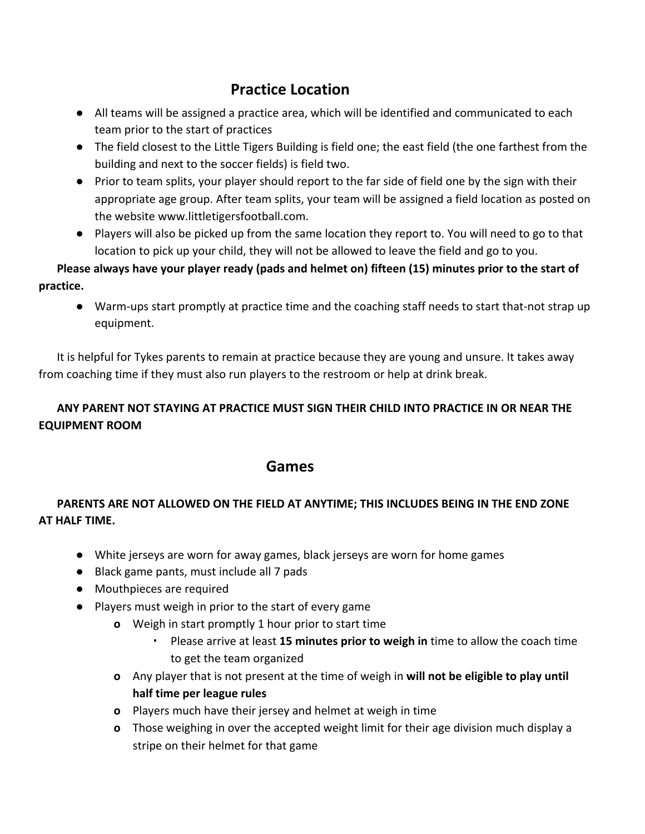# **Practice Location**

- All teams will be assigned a practice area, which will be identified and communicated to each team prior to the start of practices
- The field closest to the Little Tigers Building is field one; the east field (the one farthest from the building and next to the soccer fields) is field two.
- Prior to team splits, your player should report to the far side of field one by the sign with their appropriate age group. After team splits, your team will be assigned a field location as posted on the website www.littletigersfootball.com.
- Players will also be picked up from the same location they report to. You will need to go to that location to pick up your child, they will not be allowed to leave the field and go to you.

**Please always have your player ready (pads and helmet on) fifteen (15) minutes prior to the start of practice.**

● Warm-ups start promptly at practice time and the coaching staff needs to start that-not strap up equipment.

It is helpful for Tykes parents to remain at practice because they are young and unsure. It takes away from coaching time if they must also run players to the restroom or help at drink break.

### **ANY PARENT NOT STAYING AT PRACTICE MUST SIGN THEIR CHILD INTO PRACTICE IN OR NEAR THE EQUIPMENT ROOM**

### **Games**

### **PARENTS ARE NOT ALLOWED ON THE FIELD AT ANYTIME; THIS INCLUDES BEING IN THE END ZONE AT HALF TIME.**

- **●** White jerseys are worn for away games, black jerseys are worn for home games
- **●** Black game pants, must include all 7 pads
- **●** Mouthpieces are required
- **●** Players must weigh in prior to the start of every game
	- **o** Weigh in start promptly 1 hour prior to start time
		- Please arrive at least **15 minutes prior to weigh in** time to allow the coach time to get the team organized
	- **o** Any player that is not present at the time of weigh in **will not be eligible to play until half time per league rules**
	- **o** Players much have their jersey and helmet at weigh in time
	- **o** Those weighing in over the accepted weight limit for their age division much display a stripe on their helmet for that game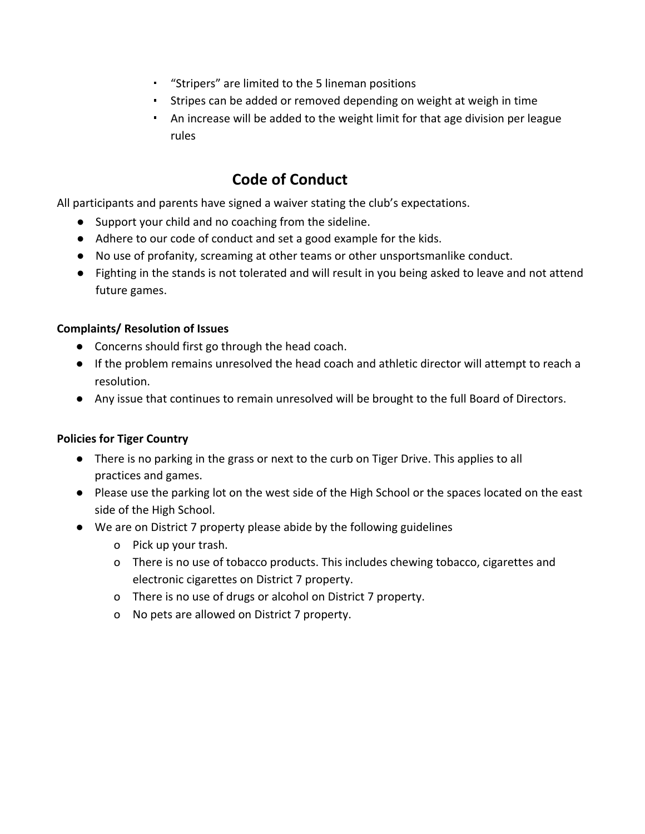- "Stripers" are limited to the 5 lineman positions
- **EXT** Stripes can be added or removed depending on weight at weigh in time
- An increase will be added to the weight limit for that age division per league rules

# **Code of Conduct**

All participants and parents have signed a waiver stating the club's expectations.

- Support your child and no coaching from the sideline.
- Adhere to our code of conduct and set a good example for the kids.
- No use of profanity, screaming at other teams or other unsportsmanlike conduct.
- Fighting in the stands is not tolerated and will result in you being asked to leave and not attend future games.

#### **Complaints/ Resolution of Issues**

- Concerns should first go through the head coach.
- If the problem remains unresolved the head coach and athletic director will attempt to reach a resolution.
- Any issue that continues to remain unresolved will be brought to the full Board of Directors.

#### **Policies for Tiger Country**

- There is no parking in the grass or next to the curb on Tiger Drive. This applies to all practices and games.
- Please use the parking lot on the west side of the High School or the spaces located on the east side of the High School.
- We are on District 7 property please abide by the following guidelines
	- o Pick up your trash.
	- o There is no use of tobacco products. This includes chewing tobacco, cigarettes and electronic cigarettes on District 7 property.
	- o There is no use of drugs or alcohol on District 7 property.
	- o No pets are allowed on District 7 property.